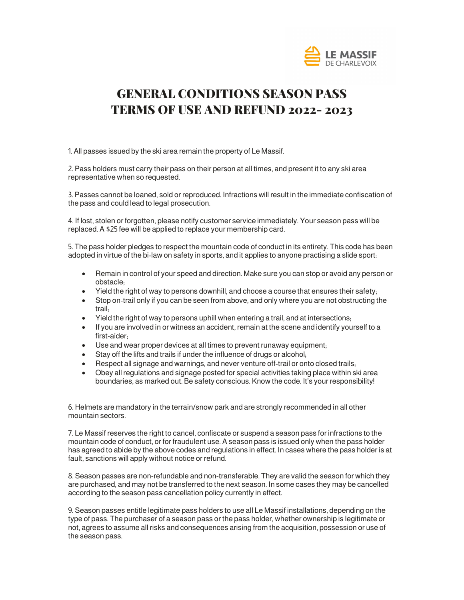

# GENERAL CONDITIONS SEASON PASS TERMS OF USE AND REFUND 2022- 2023

1. All passes issued by the ski area remain the property of Le Massif.

2. Pass holders must carry their pass on their person at all times, and present it to any ski area representative when so requested.

3. Passes cannot be loaned, sold or reproduced. Infractions will result in the immediate confiscation of the pass and could lead to legal prosecution.

4. If lost, stolen or forgotten, please notify customer service immediately. Your season pass will be replaced. A \$25 fee will be applied to replace your membership card.

5. The pass holder pledges to respect the mountain code of conduct in its entirety. This code has been adopted in virtue of the bi-law on safety in sports, and it applies to anyone practising a slide sport:

- Remain in control of your speed and direction. Make sure you can stop or avoid any person or obstacle;
- Yield the right of way to persons downhill, and choose a course that ensures their safety,
- Stop on-trail only if you can be seen from above, and only where you are not obstructing the trail;
- Yield the right of way to persons uphill when entering a trail, and at intersections;
- If you are involved in or witness an accident, remain at the scene and identify yourself to a first-aider;
- Use and wear proper devices at all times to prevent runaway equipment;
- Stay off the lifts and trails if under the influence of drugs or alcohol;
- Respect all signage and warnings, and never venture off-trail or onto closed trails;
- Obey all regulations and signage posted for special activities taking place within ski area boundaries, as marked out. Be safety conscious. Know the code. It's your responsibility!

6. Helmets are mandatory in the terrain/snow park and are strongly recommended in all other mountain sectors.

7. Le Massif reserves the right to cancel, confiscate or suspend a season pass for infractions to the mountain code of conduct, or for fraudulent use. A season pass is issued only when the pass holder has agreed to abide by the above codes and regulations in effect. In cases where the pass holder is at fault, sanctions will apply without notice or refund.

8. Season passes are non-refundable and non-transferable. They are valid the season for which they are purchased, and may not be transferred to the next season. In some cases they may be cancelled according to the season pass cancellation policy currently in effect.

9. Season passes entitle legitimate pass holders to use all Le Massif installations, depending on the type of pass. The purchaser of a season pass or the pass holder, whether ownership is legitimate or not, agrees to assume all risks and consequences arising from the acquisition, possession or use of the season pass.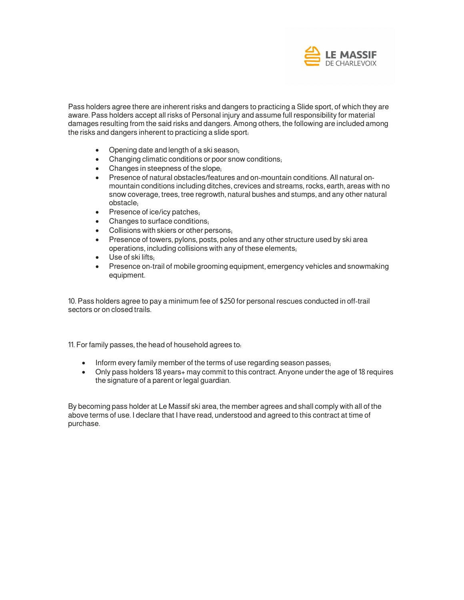

Pass holders agree there are inherent risks and dangers to practicing a Slide sport, of which they are aware. Pass holders accept all risks of Personal injury and assume full responsibility for material damages resulting from the said risks and dangers. Among others, the following are included among the risks and dangers inherent to practicing a slide sport:

- Opening date and length of a ski season;
- Changing climatic conditions or poor snow conditions;
- Changes in steepness of the slope:
- Presence of natural obstacles/features and on-mountain conditions. All natural onmountain conditions including ditches, crevices and streams, rocks, earth, areas with no snow coverage, trees, tree regrowth, natural bushes and stumps, and any other natural obstacle;
- Presence of ice/icy patches;
- Changes to surface conditions;
- Collisions with skiers or other persons;
- Presence of towers, pylons, posts, poles and any other structure used by ski area operations, including collisions with any of these elements;
- Use of ski lifts;
- Presence on-trail of mobile grooming equipment, emergency vehicles and snowmaking equipment.

10. Pass holders agree to pay a minimum fee of \$250 for personal rescues conducted in off-trail sectors or on closed trails.

11. For family passes, the head of household agrees to:

- Inform every family member of the terms of use regarding season passes;
- Only pass holders 18 years+ may commit to this contract. Anyone under the age of 18 requires the signature of a parent or legal guardian.

By becoming pass holder at Le Massif ski area, the member agrees and shall comply with all of the above terms of use. I declare that I have read, understood and agreed to this contract at time of purchase.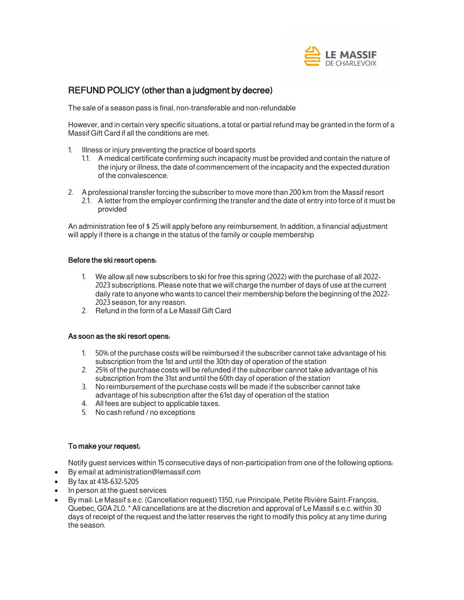

# REFUND POLICY (other than a judgment by decree)

The sale of a season pass is final, non-transferable and non-refundable

However, and in certain very specific situations, a total or partial refund may be granted in the form of a Massif Gift Card if all the conditions are met:

- 1. Illness or injury preventing the practice of board sports
	- 1.1. A medical certificate confirming such incapacity must be provided and contain the nature of the injury or illness, the date of commencement of the incapacity and the expected duration of the convalescence.
- 2. A professional transfer forcing the subscriber to move more than 200 km from the Massif resort
	- 2.1. A letter from the employer confirming the transfer and the date of entry into force of it must be provided

An administration fee of \$ 25 will apply before any reimbursement. In addition, a financial adjustment will apply if there is a change in the status of the family or couple membership

#### Before the ski resort opens:

- 1. We allow all new subscribers to ski for free this spring (2022) with the purchase of all 2022- 2023 subscriptions. Please note that we will charge the number of days of use at the current daily rate to anyone who wants to cancel their membership before the beginning of the 2022- 2023 season, for any reason.
- 2. Refund in the form of a Le Massif Gift Card

## As soon as the ski resort opens:

- 1. 50% of the purchase costs will be reimbursed if the subscriber cannot take advantage of his subscription from the 1st and until the 30th day of operation of the station
- 2. 25% of the purchase costs will be refunded if the subscriber cannot take advantage of his subscription from the 31st and until the 60th day of operation of the station
- 3. No reimbursement of the purchase costs will be made if the subscriber cannot take advantage of his subscription after the 61st day of operation of the station
- 4. All fees are subject to applicable taxes.
- 5. No cash refund / no exceptions

## To make your request:

Notify guest services within 15 consecutive days of non-participation from one of the following options:

- By email at administration@lemassif.com
- By fax at 418-632-5205
- In person at the guest services
- By mail: Le Massif s.e.c. (Cancellation request) 1350, rue Principale, Petite Rivière Saint-François, Quebec, G0A 2L0.\* All cancellations are at the discretion and approval of Le Massif s.e.c. within 30 days of receipt of the request and the latter reserves the right to modify this policy at any time during the season.